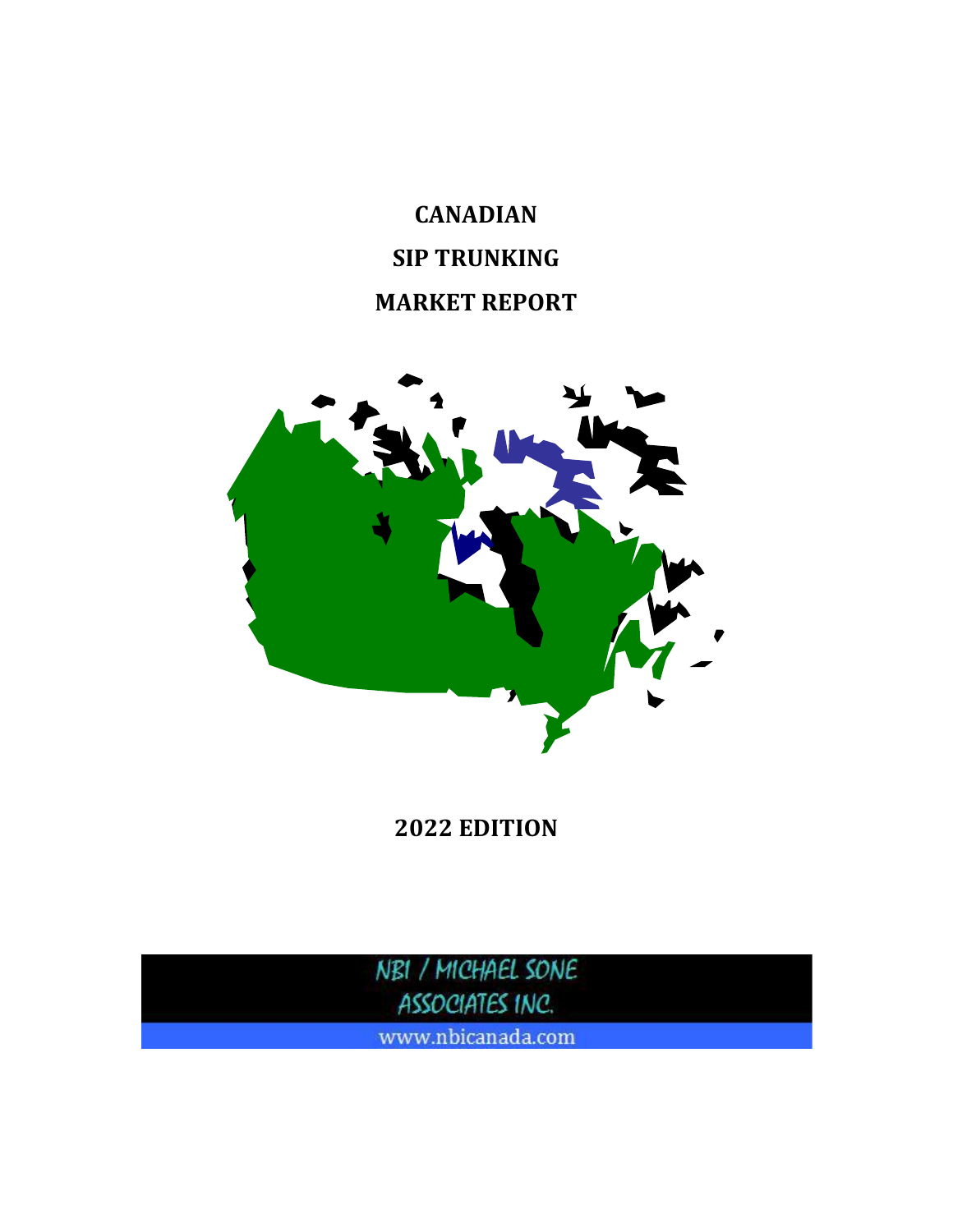# **CANADIAN SIP TRUNKING MARKET REPORT**



**2022 EDITION**

NBI / MICHAEL SONE ASSOCIATES INC.

www.nbicanada.com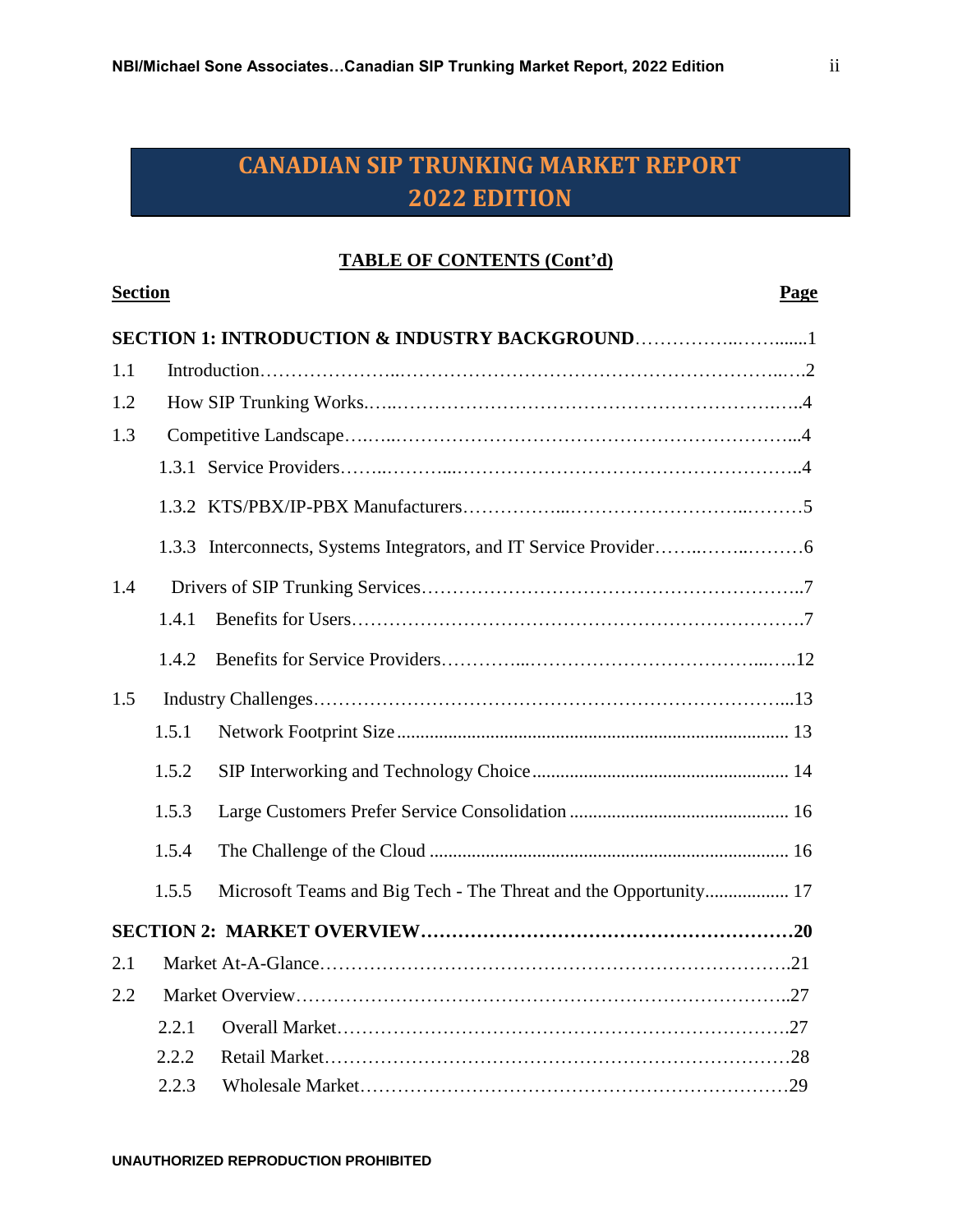#### **TABLE OF CONTENTS (Cont'd)**

| <b>Section</b> |       |                                                                  |  |
|----------------|-------|------------------------------------------------------------------|--|
|                |       | SECTION 1: INTRODUCTION & INDUSTRY BACKGROUND1                   |  |
| 1.1            |       |                                                                  |  |
| 1.2            |       |                                                                  |  |
| 1.3            |       |                                                                  |  |
|                |       |                                                                  |  |
|                |       |                                                                  |  |
|                |       |                                                                  |  |
| 1.4            |       |                                                                  |  |
|                | 1.4.1 |                                                                  |  |
|                | 1.4.2 |                                                                  |  |
| 1.5            |       |                                                                  |  |
|                | 1.5.1 |                                                                  |  |
|                | 1.5.2 |                                                                  |  |
|                | 1.5.3 |                                                                  |  |
|                | 1.5.4 |                                                                  |  |
|                | 1.5.5 | Microsoft Teams and Big Tech - The Threat and the Opportunity 17 |  |
|                |       |                                                                  |  |
| 2.1            |       |                                                                  |  |
| 2.2            |       |                                                                  |  |
|                | 2.2.1 |                                                                  |  |
|                | 2.2.2 |                                                                  |  |
|                | 2.2.3 |                                                                  |  |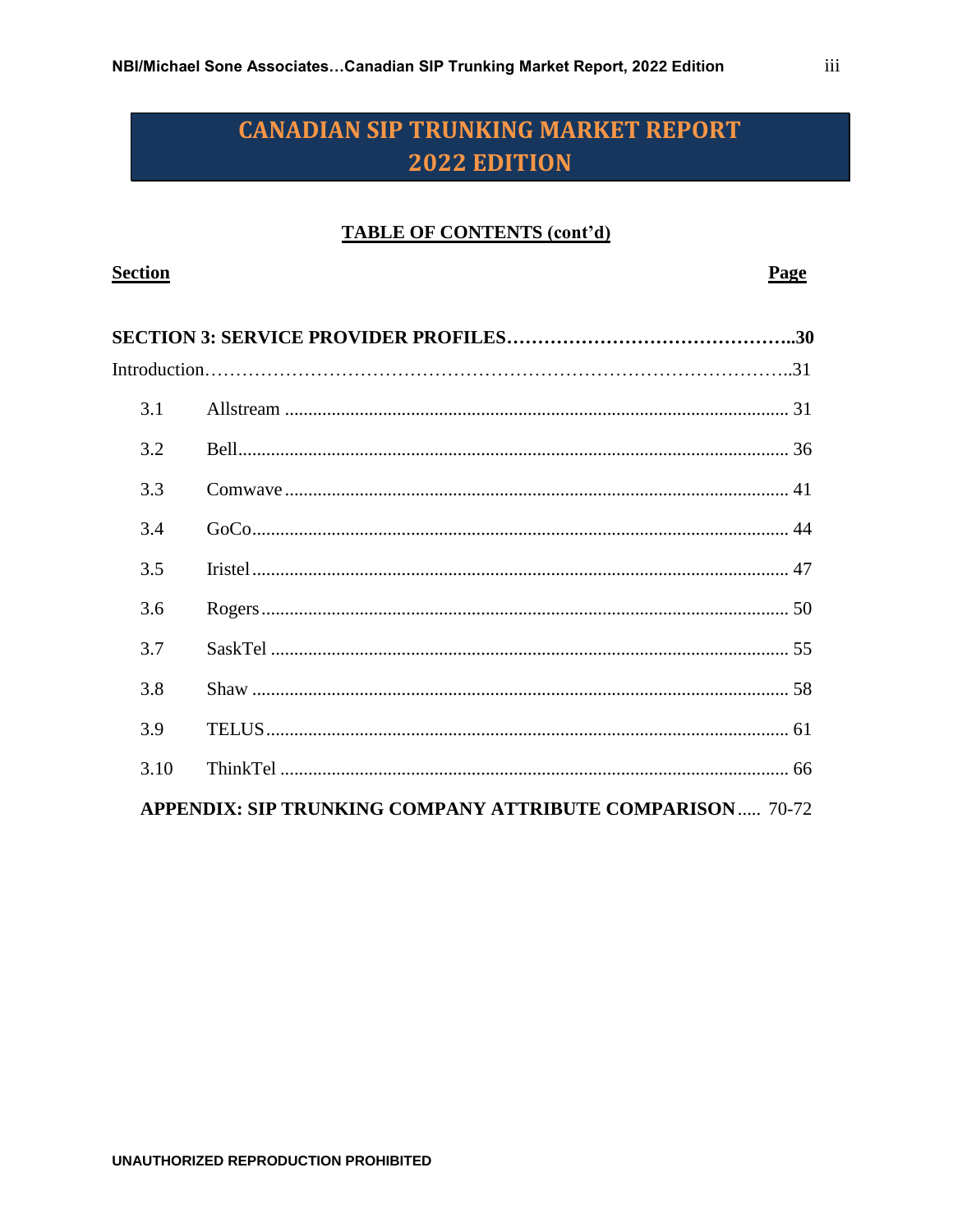### **TABLE OF CONTENTS (cont'd)**

| <b>Section</b> |                                                                  | Page |
|----------------|------------------------------------------------------------------|------|
|                |                                                                  |      |
|                |                                                                  |      |
| 3.1            |                                                                  |      |
| 3.2            |                                                                  |      |
| 3.3            |                                                                  |      |
| 3.4            |                                                                  |      |
| 3.5            |                                                                  |      |
| 3.6            |                                                                  |      |
| 3.7            |                                                                  |      |
| 3.8            |                                                                  |      |
| 3.9            |                                                                  |      |
| 3.10           |                                                                  |      |
|                | <b>APPENDIX: SIP TRUNKING COMPANY ATTRIBUTE COMPARISON 70-72</b> |      |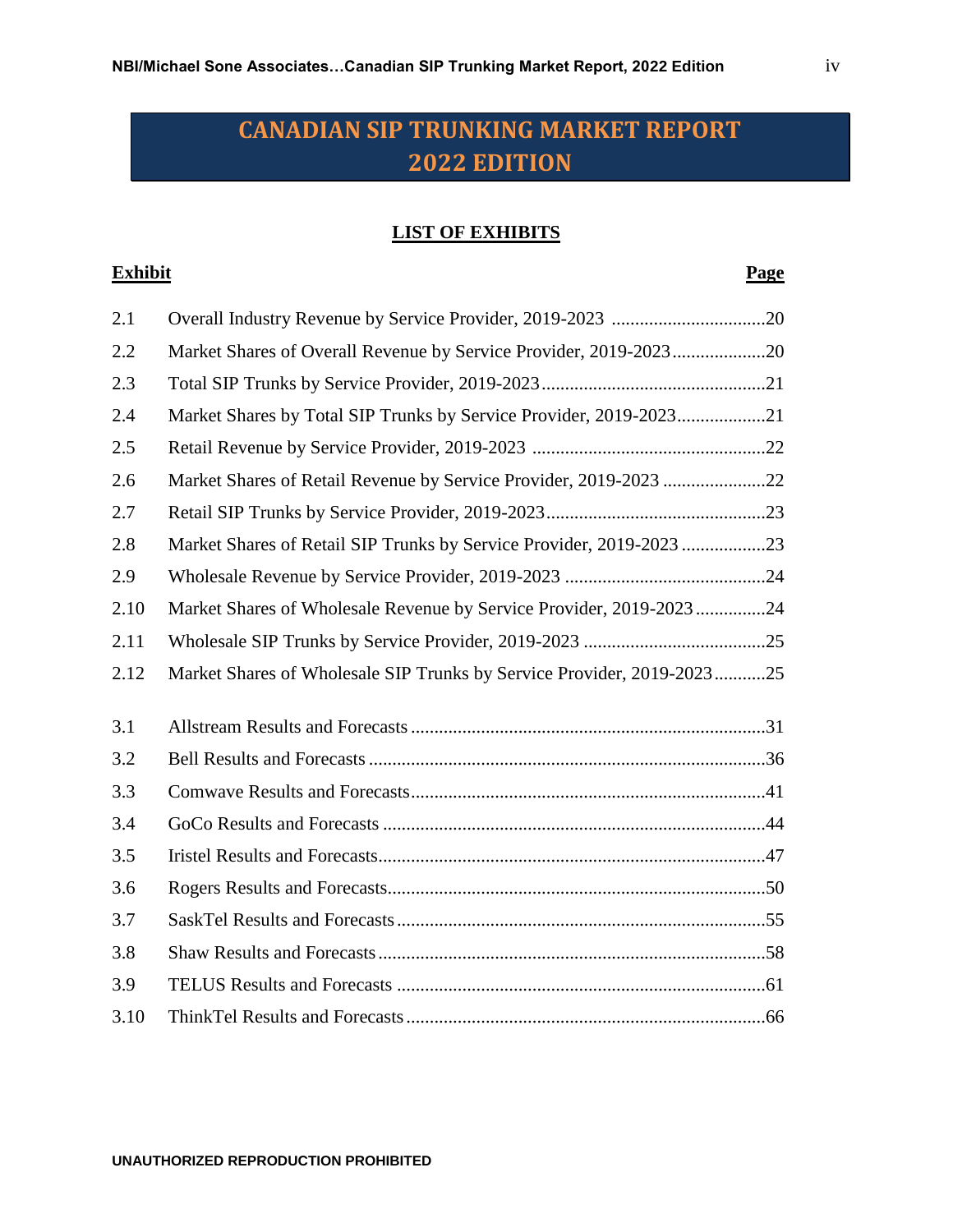### **LIST OF EXHIBITS**

#### **Exhibit Page**

| 2.1  |                                                                        |  |
|------|------------------------------------------------------------------------|--|
| 2.2  | Market Shares of Overall Revenue by Service Provider, 2019-202320      |  |
| 2.3  |                                                                        |  |
| 2.4  | Market Shares by Total SIP Trunks by Service Provider, 2019-202321     |  |
| 2.5  |                                                                        |  |
| 2.6  | Market Shares of Retail Revenue by Service Provider, 2019-2023 22      |  |
| 2.7  |                                                                        |  |
| 2.8  | Market Shares of Retail SIP Trunks by Service Provider, 2019-2023 23   |  |
| 2.9  |                                                                        |  |
| 2.10 | Market Shares of Wholesale Revenue by Service Provider, 2019-202324    |  |
| 2.11 |                                                                        |  |
| 2.12 | Market Shares of Wholesale SIP Trunks by Service Provider, 2019-202325 |  |
|      |                                                                        |  |
| 3.1  |                                                                        |  |
| 3.2  |                                                                        |  |
| 3.3  |                                                                        |  |
| 3.4  |                                                                        |  |
| 3.5  |                                                                        |  |
| 3.6  |                                                                        |  |
| 3.7  |                                                                        |  |
| 3.8  |                                                                        |  |
| 3.9  |                                                                        |  |
| 3.10 |                                                                        |  |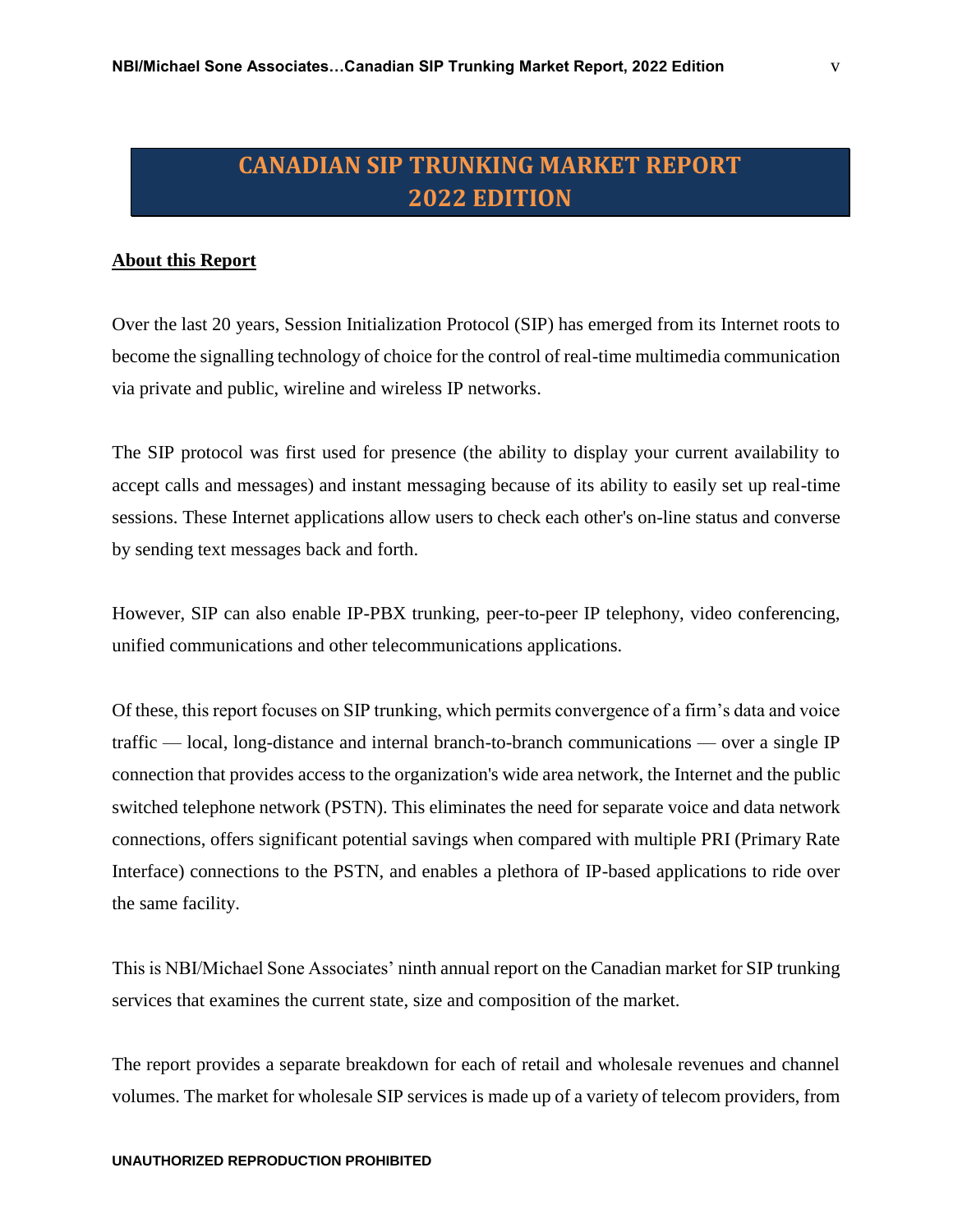#### **About this Report**

Over the last 20 years, Session Initialization Protocol (SIP) has emerged from its Internet roots to become the signalling technology of choice for the control of real-time multimedia communication via private and public, wireline and wireless IP networks.

The SIP protocol was first used for presence (the ability to display your current availability to accept calls and messages) and instant messaging because of its ability to easily set up real-time sessions. These Internet applications allow users to check each other's on-line status and converse by sending text messages back and forth.

However, SIP can also enable IP-PBX trunking, peer-to-peer IP telephony, video conferencing, unified communications and other telecommunications applications.

Of these, this report focuses on SIP trunking, which permits convergence of a firm's data and voice traffic — local, long-distance and internal branch-to-branch communications — over a single IP connection that provides access to the organization's wide area network, the Internet and the public switched telephone network (PSTN). This eliminates the need for separate voice and data network connections, offers significant potential savings when compared with multiple PRI (Primary Rate Interface) connections to the PSTN, and enables a plethora of IP-based applications to ride over the same facility.

This is NBI/Michael Sone Associates' ninth annual report on the Canadian market for SIP trunking services that examines the current state, size and composition of the market.

The report provides a separate breakdown for each of retail and wholesale revenues and channel volumes. The market for wholesale SIP services is made up of a variety of telecom providers, from